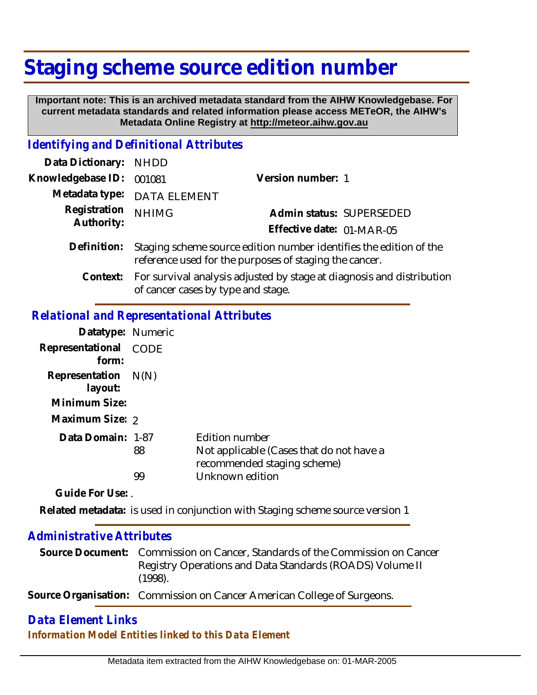# **Staging scheme source edition number**

 **Important note: This is an archived metadata standard from the AIHW Knowledgebase. For current metadata standards and related information please access METeOR, the AIHW's Metadata Online Registry at http://meteor.aihw.gov.au**

### *Identifying and Definitional Attributes*

| Data Dictionary: NHDD      |                                                                                                                              |                           |                          |
|----------------------------|------------------------------------------------------------------------------------------------------------------------------|---------------------------|--------------------------|
| Knowledgebase ID: 001081   |                                                                                                                              | Version number: 1         |                          |
|                            | Metadata type: DATA ELEMENT                                                                                                  |                           |                          |
| Registration<br>Authority: | <b>NHIMG</b>                                                                                                                 |                           | Admin status: SUPERSEDED |
|                            |                                                                                                                              | Effective date: 01-MAR-05 |                          |
| Definition:                | Staging scheme source edition number identifies the edition of the<br>reference used for the purposes of staging the cancer. |                           |                          |

For survival analysis adjusted by stage at diagnosis and distribution of cancer cases by type and stage. **Context:**

## *Relational and Representational Attributes*

| Datatype: Numeric                                                    |          |                                                                                                              |
|----------------------------------------------------------------------|----------|--------------------------------------------------------------------------------------------------------------|
| Representational<br>form:                                            | CODE     |                                                                                                              |
| Representation $N(N)$<br>layout:<br>Minimum Size:<br>Maximum Size: 2 |          |                                                                                                              |
| Data Domain: 1-87                                                    | 88<br>99 | Edition number<br>Not applicable (Cases that do not have a<br>recommended staging scheme)<br>Unknown edition |

**Guide For Use:** .

Related metadata: is used in conjunction with Staging scheme source version 1

### *Administrative Attributes*

| Source Document: Commission on Cancer, Standards of the Commission on Cancer |
|------------------------------------------------------------------------------|
| Registry Operations and Data Standards (ROADS) Volume II<br>(1998).          |

**Source Organisation:** Commission on Cancer American College of Surgeons.

# *Data Element Links Information Model Entities linked to this Data Element*